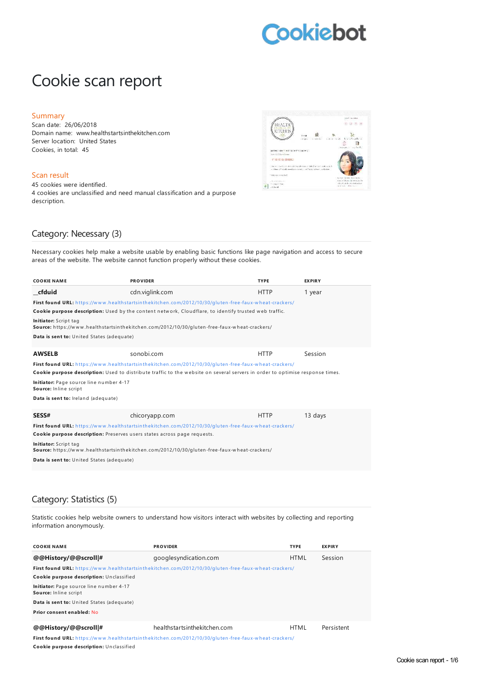# **Cookiebot**

# Cookie scan report

#### Summary

Scan date: 26/06/2018 Domain name: www.healthstartsinthekitchen.com Server location: United States Cookies, in total: 45

### Scan result

45 cookies were identified. 4 cookies are unclassified and need manual classification and a purpose description.



# Category: Necessary (3)

Necessary cookies help make a website usable by enabling basic functions like page navigation and access to secure areas of the website. The website cannot function properly without these cookies.

| <b>COOKIE NAME</b>                                                       | <b>PROVIDER</b>                                                                                                               | <b>TYPE</b> | <b>EXPIRY</b> |
|--------------------------------------------------------------------------|-------------------------------------------------------------------------------------------------------------------------------|-------------|---------------|
| cfduid                                                                   | cdn.viglink.com                                                                                                               | <b>HTTP</b> | 1 year        |
|                                                                          | First found URL: https://www.healthstartsinthekitchen.com/2012/10/30/gluten-free-faux-wheat-crackers/                         |             |               |
|                                                                          | Cookie purpose description: Used by the content network, Cloudflare, to identify trusted web traffic.                         |             |               |
| Initiator: Script tag                                                    | Source: https://www.healthstartsinthekitchen.com/2012/10/30/gluten-free-faux-wheat-crackers/                                  |             |               |
| Data is sent to: United States (adequate)                                |                                                                                                                               |             |               |
| <b>AWSELB</b>                                                            | sonobi.com                                                                                                                    | <b>HTTP</b> | Session       |
|                                                                          | First found URL: https://www.healthstartsinthekitchen.com/2012/10/30/qluten-free-faux-wheat-crackers/                         |             |               |
|                                                                          | Cookie purpose description: Used to distribute traffic to the website on several servers in order to optimise response times. |             |               |
| Initiator: Page source line number 4-17<br>Source: Inline script         |                                                                                                                               |             |               |
| Data is sent to: Ireland (adequate)                                      |                                                                                                                               |             |               |
| <b>SESS#</b>                                                             | chicoryapp.com                                                                                                                | <b>HTTP</b> | 13 days       |
|                                                                          | First found URL: https://www.healthstartsinthekitchen.com/2012/10/30/qluten-free-faux-wheat-crackers/                         |             |               |
| Cookie purpose description: Preserves users states across page requests. |                                                                                                                               |             |               |
| Initiator: Script tag                                                    | Source: https://www.healthstartsinthekitchen.com/2012/10/30/gluten-free-faux-wheat-crackers/                                  |             |               |
| Data is sent to: United States (adequate)                                |                                                                                                                               |             |               |

# Category: Statistics (5)

Statistic cookies help website owners to understand how visitors interact with websites by collecting and reporting information anonymously.

| <b>COOKIE NAME</b>                                               | <b>PROVIDER</b>                                                                                              | <b>TYPE</b> | <b>EXPIRY</b> |
|------------------------------------------------------------------|--------------------------------------------------------------------------------------------------------------|-------------|---------------|
| @@History/@@scroll #                                             | googlesyndication.com                                                                                        | <b>HTML</b> | Session       |
|                                                                  | <b>First found URL:</b> https://www.healthstartsinthekitchen.com/2012/10/30/gluten-free-faux-wheat-crackers/ |             |               |
| Cookie purpose description: Unclassified                         |                                                                                                              |             |               |
| Initiator: Page source line number 4-17<br>Source: Inline script |                                                                                                              |             |               |
| Data is sent to: United States (adequate)                        |                                                                                                              |             |               |
| Prior consent enabled: No                                        |                                                                                                              |             |               |
| @@History/@@scroll #                                             | healthstartsinthekitchen.com                                                                                 | <b>HTML</b> | Persistent    |

First found URL: https://www.healthstartsinthekitchen.com/2012/10/30/gluten-free-faux-wheat-crackers/ **Cookie purpose description:** Un classified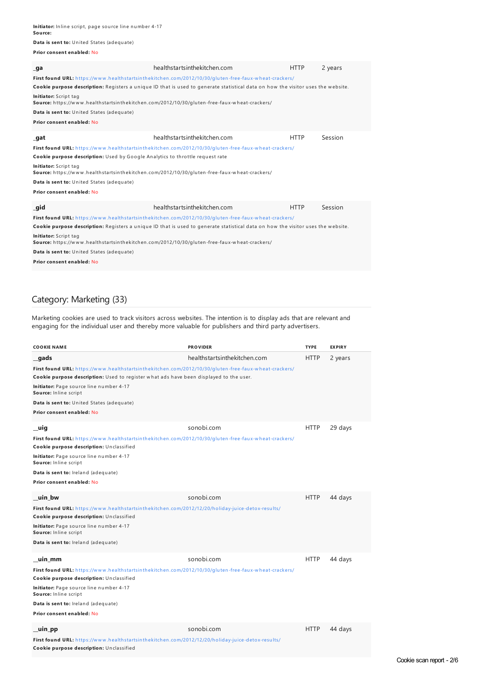| Data is sent to: United States (adequate)                                            |                                                                                                                                                                                                                                           |             |         |
|--------------------------------------------------------------------------------------|-------------------------------------------------------------------------------------------------------------------------------------------------------------------------------------------------------------------------------------------|-------------|---------|
| Prior consent enabled: No                                                            |                                                                                                                                                                                                                                           |             |         |
| _ga                                                                                  | healthstartsinthekitchen.com                                                                                                                                                                                                              | <b>HTTP</b> | 2 years |
|                                                                                      | First found URL: https://www.healthstartsinthekitchen.com/2012/10/30/gluten-free-faux-wheat-crackers/<br>Cookie purpose description: Registers a unique ID that is used to generate statistical data on how the visitor uses the website. |             |         |
| Initiator: Script tag                                                                | Source: https://www.healthstartsinthekitchen.com/2012/10/30/gluten-free-faux-wheat-crackers/                                                                                                                                              |             |         |
| Data is sent to: United States (adequate)                                            |                                                                                                                                                                                                                                           |             |         |
| Prior consent enabled: No                                                            |                                                                                                                                                                                                                                           |             |         |
| _gat                                                                                 | healthstartsinthekitchen.com                                                                                                                                                                                                              | <b>HTTP</b> | Session |
| <b>Cookie purpose description:</b> Used by Google Analytics to throttle request rate | First found URL: https://www.healthstartsinthekitchen.com/2012/10/30/gluten-free-faux-wheat-crackers/                                                                                                                                     |             |         |
| Initiator: Script tag                                                                | Source: https://www.healthstartsinthekitchen.com/2012/10/30/gluten-free-faux-wheat-crackers/                                                                                                                                              |             |         |
| Data is sent to: United States (adequate)                                            |                                                                                                                                                                                                                                           |             |         |
| Prior consent enabled: No                                                            |                                                                                                                                                                                                                                           |             |         |

| gid                                       | healthstartsinthekitchen.com                                                                                                     | <b>HTTP</b> | Session |
|-------------------------------------------|----------------------------------------------------------------------------------------------------------------------------------|-------------|---------|
|                                           | <b>First found URL:</b> https://www.healthstartsinthekitchen.com/2012/10/30/qluten-free-faux-wheat-crackers/                     |             |         |
|                                           | Cookie purpose description: Registers a unique ID that is used to generate statistical data on how the visitor uses the website. |             |         |
| Initiator: Script tag                     | Source: https://www.healthstartsinthekitchen.com/2012/10/30/gluten-free-faux-wheat-crackers/                                     |             |         |
| Data is sent to: United States (adequate) |                                                                                                                                  |             |         |
| Prior consent enabled: No                 |                                                                                                                                  |             |         |

# Category: Marketing (33)

Marketing cookies are used to track visitors across websites. The intention is to display ads that are relevant and engaging for the individual user and thereby more valuable for publishers and third party advertisers.

| <b>COOKIE NAME</b>                                                                                                                            | <b>PROVIDER</b>              | <b>TYPE</b> | <b>EXPIRY</b> |
|-----------------------------------------------------------------------------------------------------------------------------------------------|------------------------------|-------------|---------------|
| gads                                                                                                                                          | healthstartsinthekitchen.com | <b>HTTP</b> | 2 years       |
| First found URL: https://www.healthstartsinthekitchen.com/2012/10/30/gluten-free-faux-wheat-crackers/                                         |                              |             |               |
| Cookie purpose description: Used to register what ads have been displayed to the user.                                                        |                              |             |               |
| Initiator: Page source line number 4-17<br>Source: Inline script                                                                              |                              |             |               |
| Data is sent to: United States (adequate)                                                                                                     |                              |             |               |
| Prior consent enabled: No                                                                                                                     |                              |             |               |
| _uig                                                                                                                                          | sonobi.com                   | <b>HTTP</b> | 29 days       |
| First found URL: https://www.healthstartsinthekitchen.com/2012/10/30/gluten-free-faux-wheat-crackers/                                         |                              |             |               |
| Cookie purpose description: Unclassified                                                                                                      |                              |             |               |
| Initiator: Page source line number 4-17<br>Source: Inline script                                                                              |                              |             |               |
| Data is sent to: Ireland (adequate)                                                                                                           |                              |             |               |
| Prior consent enabled: No                                                                                                                     |                              |             |               |
| uin bw                                                                                                                                        | sonobi.com                   | <b>HTTP</b> | 44 days       |
| First found URL: https://www.healthstartsinthekitchen.com/2012/12/20/holiday-juice-detox-results/                                             |                              |             |               |
| Cookie purpose description: Unclassified                                                                                                      |                              |             |               |
| Initiator: Page source line number 4-17<br>Source: Inline script                                                                              |                              |             |               |
| Data is sent to: Ireland (adequate)                                                                                                           |                              |             |               |
| uin_mm                                                                                                                                        | sonobi.com                   | <b>HTTP</b> | 44 days       |
| First found URL: https://www.healthstartsinthekitchen.com/2012/10/30/qluten-free-faux-wheat-crackers/                                         |                              |             |               |
| Cookie purpose description: Unclassified                                                                                                      |                              |             |               |
| Initiator: Page source line number 4-17<br>Source: Inline script                                                                              |                              |             |               |
| Data is sent to: Ireland (adequate)                                                                                                           |                              |             |               |
| Prior consent enabled: No                                                                                                                     |                              |             |               |
| _uin_pp                                                                                                                                       | sonobi.com                   | <b>HTTP</b> | 44 days       |
| First found URL: https://www.healthstartsinthekitchen.com/2012/12/20/holiday-juice-detox-results/<br>Cookie purpose description: Unclassified |                              |             |               |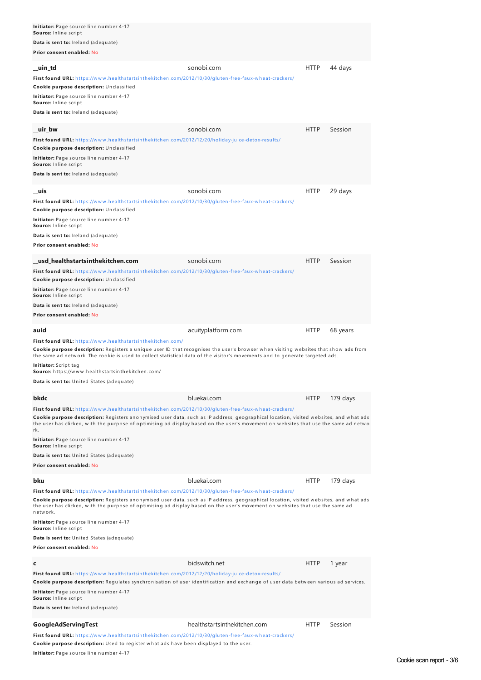| Initiator: Page source line number 4-17<br>Source: Inline script                                                                                                                                                                                                                                                                                                                                      |                              |             |          |
|-------------------------------------------------------------------------------------------------------------------------------------------------------------------------------------------------------------------------------------------------------------------------------------------------------------------------------------------------------------------------------------------------------|------------------------------|-------------|----------|
| Data is sent to: Ireland (adequate)                                                                                                                                                                                                                                                                                                                                                                   |                              |             |          |
| Prior consent enabled: No                                                                                                                                                                                                                                                                                                                                                                             |                              |             |          |
| uin td                                                                                                                                                                                                                                                                                                                                                                                                | sonobi.com                   | HTTP        | 44 days  |
| First found URL: https://www.healthstartsinthekitchen.com/2012/10/30/gluten-free-faux-wheat-crackers/                                                                                                                                                                                                                                                                                                 |                              |             |          |
| Cookie purpose description: Unclassified                                                                                                                                                                                                                                                                                                                                                              |                              |             |          |
| Initiator: Page source line number 4-17<br>Source: Inline script                                                                                                                                                                                                                                                                                                                                      |                              |             |          |
| Data is sent to: Ireland (adequate)                                                                                                                                                                                                                                                                                                                                                                   |                              |             |          |
| uir bw                                                                                                                                                                                                                                                                                                                                                                                                | sonobi.com                   | <b>HTTP</b> | Session  |
| First found URL: https://www.healthstartsinthekitchen.com/2012/12/20/holiday-juice-detox-results/                                                                                                                                                                                                                                                                                                     |                              |             |          |
| Cookie purpose description: Unclassified                                                                                                                                                                                                                                                                                                                                                              |                              |             |          |
| Initiator: Page source line number 4-17<br>Source: Inline script                                                                                                                                                                                                                                                                                                                                      |                              |             |          |
| Data is sent to: Ireland (adequate)                                                                                                                                                                                                                                                                                                                                                                   |                              |             |          |
| uis                                                                                                                                                                                                                                                                                                                                                                                                   | sonobi.com                   | <b>HTTP</b> | 29 days  |
| First found URL: https://www.healthstartsinthekitchen.com/2012/10/30/gluten-free-faux-wheat-crackers/                                                                                                                                                                                                                                                                                                 |                              |             |          |
| Cookie purpose description: Unclassified                                                                                                                                                                                                                                                                                                                                                              |                              |             |          |
| Initiator: Page source line number 4-17<br>Source: Inline script                                                                                                                                                                                                                                                                                                                                      |                              |             |          |
| Data is sent to: Ireland (adequate)                                                                                                                                                                                                                                                                                                                                                                   |                              |             |          |
| Prior consent enabled: No                                                                                                                                                                                                                                                                                                                                                                             |                              |             |          |
| usd healthstartsinthekitchen.com                                                                                                                                                                                                                                                                                                                                                                      | sonobi.com                   | <b>HTTP</b> | Session  |
| First found URL: https://www.healthstartsinthekitchen.com/2012/10/30/gluten-free-faux-wheat-crackers/                                                                                                                                                                                                                                                                                                 |                              |             |          |
| Cookie purpose description: Unclassified<br>Initiator: Page source line number 4-17                                                                                                                                                                                                                                                                                                                   |                              |             |          |
| Source: Inline script<br>Data is sent to: Ireland (adequate)                                                                                                                                                                                                                                                                                                                                          |                              |             |          |
| Prior consent enabled: No                                                                                                                                                                                                                                                                                                                                                                             |                              |             |          |
| auid                                                                                                                                                                                                                                                                                                                                                                                                  | acuityplatform.com           | <b>HTTP</b> | 68 years |
| First found URL: https://www.healthstartsinthekitchen.com/                                                                                                                                                                                                                                                                                                                                            |                              |             |          |
| Cookie purpose description: Registers a unique user ID that recognises the user's browser when visiting websites that show ads from<br>the same ad network. The cookie is used to collect statistical data of the visitor's movements and to generate targeted ads.                                                                                                                                   |                              |             |          |
| <b>Initiator:</b> Script tag<br>Source: https://www.healthstartsinthekitchen.com/                                                                                                                                                                                                                                                                                                                     |                              |             |          |
| Data is sent to: United States (adequate)                                                                                                                                                                                                                                                                                                                                                             |                              |             |          |
| bkdc                                                                                                                                                                                                                                                                                                                                                                                                  | bluekai.com                  | HTTP        | 179 days |
| First found URL: https://www.healthstartsinthekitchen.com/2012/10/30/gluten-free-faux-wheat-crackers/                                                                                                                                                                                                                                                                                                 |                              |             |          |
| <b>Cookie purpose description:</b> Registers anonymised user data, such as IP address, geographical location, visited websites, and what ads<br>the user has clicked, with the purpose of optimising ad display based on the user's movement on websites that use the same ad netwo<br>rk.                                                                                                            |                              |             |          |
| Initiator: Page source line number 4-17<br>Source: Inline script                                                                                                                                                                                                                                                                                                                                      |                              |             |          |
| Data is sent to: United States (adequate)                                                                                                                                                                                                                                                                                                                                                             |                              |             |          |
| Prior consent enabled: No                                                                                                                                                                                                                                                                                                                                                                             |                              |             |          |
| bku                                                                                                                                                                                                                                                                                                                                                                                                   | bluekai.com                  | <b>HTTP</b> | 179 days |
| First found URL: https://www.healthstartsinthekitchen.com/2012/10/30/gluten-free-faux-wheat-crackers/<br><b>Cookie purpose description:</b> Registers anonymised user data, such as IP address, geographical location, visited websites, and what ads<br>the user has clicked, with the purpose of optimising ad display based on the user's movement on websites that use the same ad<br>n etw o rk. |                              |             |          |
| Initiator: Page source line number 4-17<br>Source: Inline script                                                                                                                                                                                                                                                                                                                                      |                              |             |          |
| <b>Data is sent to:</b> United States (adequate)                                                                                                                                                                                                                                                                                                                                                      |                              |             |          |
| Prior consent enabled: No                                                                                                                                                                                                                                                                                                                                                                             |                              |             |          |
| c                                                                                                                                                                                                                                                                                                                                                                                                     | bidswitch.net                | <b>HTTP</b> | 1 year   |
| First found URL: https://www.healthstartsinthekitchen.com/2012/12/20/holiday-juice-detox-results/                                                                                                                                                                                                                                                                                                     |                              |             |          |
| Cookie purpose description: Regulates synchronisation of user identification and exchange of user data between various ad services.<br><b>Initiator:</b> Page source line number 4-17<br>Source: Inline script                                                                                                                                                                                        |                              |             |          |
|                                                                                                                                                                                                                                                                                                                                                                                                       |                              |             |          |
| Data is sent to: Ireland (adequate)                                                                                                                                                                                                                                                                                                                                                                   |                              |             |          |
|                                                                                                                                                                                                                                                                                                                                                                                                       |                              |             |          |
| GoogleAdServingTest<br>First found URL: https://www.healthstartsinthekitchen.com/2012/10/30/gluten-free-faux-wheat-crackers/                                                                                                                                                                                                                                                                          | healthstartsinthekitchen.com | <b>HTTP</b> | Session  |

**Cookie purpose description:** Used to register what ads have been displayed to the user.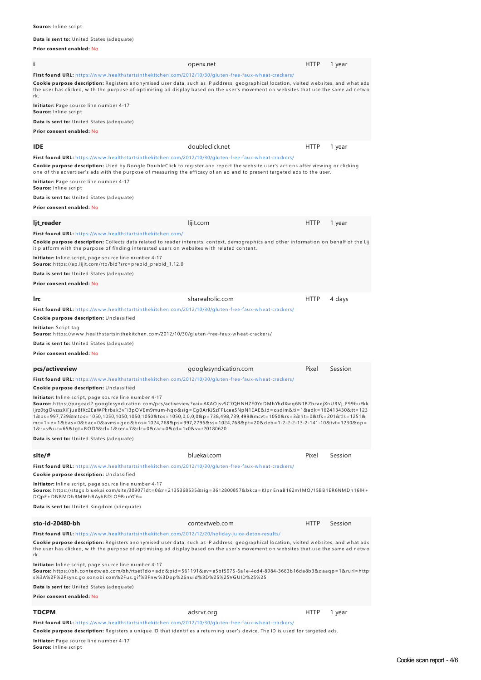#### **Source:** Inline script

#### **Data is sent to:** United States (adequate)

**Prior consent enabled:** No

| i.                                                                                                                                                                                                                                                                                                                                                                                                                                                                                                                                                                                                                                                                                                                                                                                                                                                                  | openx.net             | <b>HTTP</b> | 1 year  |
|---------------------------------------------------------------------------------------------------------------------------------------------------------------------------------------------------------------------------------------------------------------------------------------------------------------------------------------------------------------------------------------------------------------------------------------------------------------------------------------------------------------------------------------------------------------------------------------------------------------------------------------------------------------------------------------------------------------------------------------------------------------------------------------------------------------------------------------------------------------------|-----------------------|-------------|---------|
| First found URL: https://www.healthstartsinthekitchen.com/2012/10/30/qluten-free-faux-wheat-crackers/<br>Cookie purpose description: Registers anonymised user data, such as IP address, geographical location, visited websites, and what ads<br>the user has clicked, with the purpose of optimising ad display based on the user's movement on websites that use the same ad netwo<br>rk.                                                                                                                                                                                                                                                                                                                                                                                                                                                                        |                       |             |         |
| Initiator: Page source line number 4-17<br>Source: Inline script                                                                                                                                                                                                                                                                                                                                                                                                                                                                                                                                                                                                                                                                                                                                                                                                    |                       |             |         |
| <b>Data is sent to:</b> United States (adequate)<br>Prior consent enabled: No                                                                                                                                                                                                                                                                                                                                                                                                                                                                                                                                                                                                                                                                                                                                                                                       |                       |             |         |
|                                                                                                                                                                                                                                                                                                                                                                                                                                                                                                                                                                                                                                                                                                                                                                                                                                                                     |                       |             |         |
| <b>IDE</b>                                                                                                                                                                                                                                                                                                                                                                                                                                                                                                                                                                                                                                                                                                                                                                                                                                                          | doubleclick.net       | <b>HTTP</b> | 1 year  |
| First found URL: https://www.healthstartsinthekitchen.com/2012/10/30/gluten-free-faux-wheat-crackers/<br>Cookie purpose description: Used by Google DoubleClick to register and report the website user's actions after viewing or clicking<br>one of the advertiser's ads with the purpose of measuring the efficacy of an ad and to present targeted ads to the user.                                                                                                                                                                                                                                                                                                                                                                                                                                                                                             |                       |             |         |
| Initiator: Page source line number 4-17<br>Source: Inline script                                                                                                                                                                                                                                                                                                                                                                                                                                                                                                                                                                                                                                                                                                                                                                                                    |                       |             |         |
| Data is sent to: United States (adequate)                                                                                                                                                                                                                                                                                                                                                                                                                                                                                                                                                                                                                                                                                                                                                                                                                           |                       |             |         |
| Prior consent enabled: No                                                                                                                                                                                                                                                                                                                                                                                                                                                                                                                                                                                                                                                                                                                                                                                                                                           |                       |             |         |
| ljt_reader                                                                                                                                                                                                                                                                                                                                                                                                                                                                                                                                                                                                                                                                                                                                                                                                                                                          | lijit.com             | <b>HTTP</b> | 1 year  |
| First found URL: https://www.healthstartsinthekitchen.com/<br>Cookie purpose description: Collects data related to reader interests, context, demographics and other information on behalf of the Lij<br>it platform with the purpose of finding interested users on websites with related content.                                                                                                                                                                                                                                                                                                                                                                                                                                                                                                                                                                 |                       |             |         |
| Initiator: Inline script, page source line number 4-17<br>Source: https://ap.lijit.com/rtb/bid?src=prebid_prebid_1.12.0                                                                                                                                                                                                                                                                                                                                                                                                                                                                                                                                                                                                                                                                                                                                             |                       |             |         |
| Data is sent to: United States (adequate)<br>Prior consent enabled: No                                                                                                                                                                                                                                                                                                                                                                                                                                                                                                                                                                                                                                                                                                                                                                                              |                       |             |         |
| <b>Irc</b>                                                                                                                                                                                                                                                                                                                                                                                                                                                                                                                                                                                                                                                                                                                                                                                                                                                          | shareaholic.com       | <b>HTTP</b> | 4 days  |
| First found URL: https://www.healthstartsinthekitchen.com/2012/10/30/gluten-free-faux-wheat-crackers/<br>Cookie purpose description: Unclassified                                                                                                                                                                                                                                                                                                                                                                                                                                                                                                                                                                                                                                                                                                                   |                       |             |         |
| Initiator: Script tag<br>Source: https://www.healthstartsinthekitchen.com/2012/10/30/gluten-free-faux-wheat-crackers/                                                                                                                                                                                                                                                                                                                                                                                                                                                                                                                                                                                                                                                                                                                                               |                       |             |         |
| Data is sent to: United States (adequate)                                                                                                                                                                                                                                                                                                                                                                                                                                                                                                                                                                                                                                                                                                                                                                                                                           |                       |             |         |
| Prior consent enabled: No                                                                                                                                                                                                                                                                                                                                                                                                                                                                                                                                                                                                                                                                                                                                                                                                                                           |                       |             |         |
| pcs/activeview                                                                                                                                                                                                                                                                                                                                                                                                                                                                                                                                                                                                                                                                                                                                                                                                                                                      | googlesyndication.com | Pixel       | Session |
| First found URL: https://www.healthstartsinthekitchen.com/2012/10/30/gluten-free-faux-wheat-crackers/                                                                                                                                                                                                                                                                                                                                                                                                                                                                                                                                                                                                                                                                                                                                                               |                       |             |         |
| Cookie purpose description: Unclassified<br><b>Initiator:</b> Inline script, page source line number 4-17<br>Source: https://pagead2.googlesyndication.com/pcs/activeview?xai=AKAOjsvSC7QHNHZF0YdDMhYhdXwq6N1BZbcaejXnURVj_F99buYkk<br>ljrz0tgOvzszXiFjua8fXc2EaWPkrbak3vFi3pOVEm9mum-hqo&sig=Cg0ArKJSzFPLcee5NpN1EAE&id=osdim&ti=1&adk=162413430&tt=123<br>1&bs=997,739&mtos=1050,1050,1050,1050,1050&tos=1050,0,0,0,0&p=738,498,739,499&mcvt=1050&rs=3&ht=0&tfs=201&tls=1251&<br>mc=1 <e=1&bas=0&bac=0&avms=geo&bos=1024,768&ps=997,2796&ss=1024,768&pt=20&deb=1-2-2-2-13-2-141-10&tvt=1230&op=<br>1&amp;r=v&amp;uc=65&amp;tqt=BODY&amp;cl=1&amp;cec=7&amp;clc=0&amp;cac=0&amp;cd=1x0&amp;v=r20180620<br/>Data is sent to: United States (adequate)</e=1&bas=0&bac=0&avms=geo&bos=1024,768&ps=997,2796&ss=1024,768&pt=20&deb=1-2-2-2-13-2-141-10&tvt=1230&op=<br> |                       |             |         |
| site/#                                                                                                                                                                                                                                                                                                                                                                                                                                                                                                                                                                                                                                                                                                                                                                                                                                                              | bluekai.com           | Pixel       | Session |
| First found URL: https://www.healthstartsinthekitchen.com/2012/10/30/qluten-free-faux-wheat-crackers/<br>Cookie purpose description: Unclassified                                                                                                                                                                                                                                                                                                                                                                                                                                                                                                                                                                                                                                                                                                                   |                       |             |         |
| Initiator: Inline script, page source line number 4-17<br>Source: https://stags.bluekai.com/site/30907?dt=0&r=2135368535&sig=3612800857&bkca=KJpnEnaB162m1MO/15BB1ER6NMDh16lH+<br>DQpE+DNBMDhBMWhBAyhBDLO9BuxYC6=<br>Data is sent to: United Kingdom (adequate)                                                                                                                                                                                                                                                                                                                                                                                                                                                                                                                                                                                                     |                       |             |         |
|                                                                                                                                                                                                                                                                                                                                                                                                                                                                                                                                                                                                                                                                                                                                                                                                                                                                     |                       |             |         |
| sto-id-20480-bh                                                                                                                                                                                                                                                                                                                                                                                                                                                                                                                                                                                                                                                                                                                                                                                                                                                     | contextweb.com        | <b>HTTP</b> | Session |
| First found URL: https://www.healthstartsinthekitchen.com/2012/12/20/holiday-juice-detox-results/<br>Cookie purpose description: Registers anonymised user data, such as IP address, geographical location, visited websites, and what ads<br>the user has clicked, with the purpose of optimising ad display based on the user's movement on websites that use the same ad netwo<br>rk.                                                                                                                                                                                                                                                                                                                                                                                                                                                                            |                       |             |         |
| Initiator: Inline script, page source line number 4-17<br>Source: https://bh.contextweb.com/bh/rtset?do=add&pid=561191&ev=a5bf5975-6a1e-4cd4-8984-3663b16da8b3&daaqp=1&rurl=http<br>s%3A%2F%2Fsync.go.sonobi.com%2Fus.gif%3Fnw%3Dpp%26nuid%3D%25%25VGUID%25%25                                                                                                                                                                                                                                                                                                                                                                                                                                                                                                                                                                                                      |                       |             |         |
| <b>Data is sent to:</b> United States (adequate)<br>Prior consent enabled: No                                                                                                                                                                                                                                                                                                                                                                                                                                                                                                                                                                                                                                                                                                                                                                                       |                       |             |         |
|                                                                                                                                                                                                                                                                                                                                                                                                                                                                                                                                                                                                                                                                                                                                                                                                                                                                     |                       |             |         |
| <b>TDCPM</b><br>First found URL: https://www.healthstartsinthekitchen.com/2012/10/30/gluten-free-faux-wheat-crackers/                                                                                                                                                                                                                                                                                                                                                                                                                                                                                                                                                                                                                                                                                                                                               | adsrvr.org            | <b>HTTP</b> | 1 year  |
| Cookie purpose description: Registers a unique ID that identifies a returning user's device. The ID is used for targeted ads.                                                                                                                                                                                                                                                                                                                                                                                                                                                                                                                                                                                                                                                                                                                                       |                       |             |         |

<mark>lnitiator:</mark> Page source line number 4-17<br>**Source:** Inline script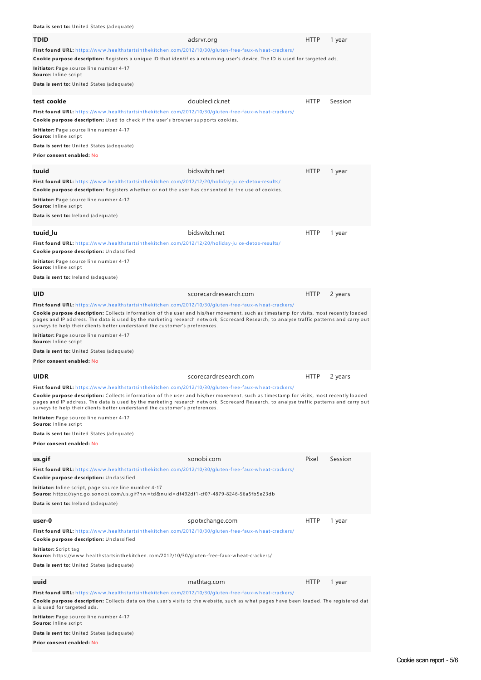**Data is sent to:** United States (adequate)

| <b>TDID</b><br>First found URL: https://www.healthstartsinthekitchen.com/2012/10/30/gluten-free-faux-wheat-crackers/<br>Cookie purpose description: Registers a unique ID that identifies a returning user's device. The ID is used for targeted ads.<br>Initiator: Page source line number 4-17<br>Source: Inline script<br><b>Data is sent to:</b> United States (adequate)                                                                                                                                                                                                                                                                                    | adsrvr.org            | <b>HTTP</b> | 1 year  |
|------------------------------------------------------------------------------------------------------------------------------------------------------------------------------------------------------------------------------------------------------------------------------------------------------------------------------------------------------------------------------------------------------------------------------------------------------------------------------------------------------------------------------------------------------------------------------------------------------------------------------------------------------------------|-----------------------|-------------|---------|
| test_cookie<br>First found URL: https://www.healthstartsinthekitchen.com/2012/10/30/gluten-free-faux-wheat-crackers/<br>Cookie purpose description: Used to check if the user's browser supports cookies.<br>Initiator: Page source line number 4-17<br>Source: Inline script<br>Data is sent to: United States (adequate)<br>Prior consent enabled: No                                                                                                                                                                                                                                                                                                          | doubleclick.net       | <b>HTTP</b> | Session |
| tuuid<br>First found URL: https://www.healthstartsinthekitchen.com/2012/12/20/holiday-juice-detox-results/<br>Cookie purpose description: Registers whether or not the user has consented to the use of cookies.<br><b>Initiator:</b> Page source line number 4-17<br><b>Source:</b> Inline script<br>Data is sent to: Ireland (adequate)                                                                                                                                                                                                                                                                                                                        | bidswitch.net         | <b>HTTP</b> | 1 year  |
| tuuid_lu<br>First found URL: https://www.healthstartsinthekitchen.com/2012/12/20/holiday-juice-detox-results/<br>Cookie purpose description: Unclassified<br>Initiator: Page source line number 4-17<br><b>Source:</b> Inline script<br>Data is sent to: Ireland (adequate)                                                                                                                                                                                                                                                                                                                                                                                      | bidswitch.net         | <b>HTTP</b> | 1 year  |
| <b>UID</b><br><b>First found URL:</b> https://www.healthstartsinthekitchen.com/2012/10/30/gluten-free-faux-wheat-crackers/<br>Cookie purpose description: Collects information of the user and his/her movement, such as timestamp for visits, most recently loaded<br>pages and IP address. The data is used by the marketing research network, Scorecard Research, to analyse traffic patterns and carry out<br>surveys to help their clients better understand the customer's preferences.<br><b>Initiator:</b> Page source line number 4-17<br><b>Source:</b> Inline script<br><b>Data is sent to:</b> United States (adequate)<br>Prior consent enabled: No | scorecardresearch.com | <b>HTTP</b> | 2 years |
| <b>UIDR</b><br>First found URL: https://www.healthstartsinthekitchen.com/2012/10/30/gluten-free-faux-wheat-crackers/<br>Cookie purpose description: Collects information of the user and his/her movement, such as timestamp for visits, most recently loaded<br>pages and IP address. The data is used by the marketing research network, Scorecard Research, to analyse traffic patterns and carry out<br>surveys to help their clients better understand the customer's preferences.<br><b>Initiator:</b> Page source line number 4-17<br>Source: Inline script<br><b>Data is sent to:</b> United States (adequate)<br>Prior consent enabled: No              | scorecardresearch.com | <b>HTTP</b> | 2 years |
| us.gif<br>First found URL: https://www.healthstartsinthekitchen.com/2012/10/30/gluten-free-faux-wheat-crackers/<br>Cookie purpose description: Unclassified<br><b>Initiator:</b> Inline script, page source line number 4-17<br>Source: https://sync.go.sonobi.com/us.gif?nw=td&nuid=df492df1-cf07-4879-8246-56a5fb5e23db<br>Data is sent to: Ireland (adequate)                                                                                                                                                                                                                                                                                                 | sonobi.com            | Pixel       | Session |
| user-0<br>First found URL: https://www.healthstartsinthekitchen.com/2012/10/30/gluten-free-faux-wheat-crackers/<br>Cookie purpose description: Unclassified<br>Initiator: Script tag<br>Source: https://www.healthstartsinthekitchen.com/2012/10/30/gluten-free-faux-wheat-crackers/<br><b>Data is sent to:</b> United States (adequate)                                                                                                                                                                                                                                                                                                                         | spotxchange.com       | <b>HTTP</b> | 1 year  |
| uuid<br>First found URL: https://www.healthstartsinthekitchen.com/2012/10/30/gluten-free-faux-wheat-crackers/<br>Cookie purpose description: Collects data on the user's visits to the website, such as what pages have been loaded. The registered dat<br>a is used for targeted ads.<br><b>Initiator:</b> Page source line number 4-17<br>Source: Inline script<br><b>Data is sent to:</b> United States (adequate)<br>Prior consent enabled: No                                                                                                                                                                                                               | mathtag.com           | <b>HTTP</b> | 1 year  |